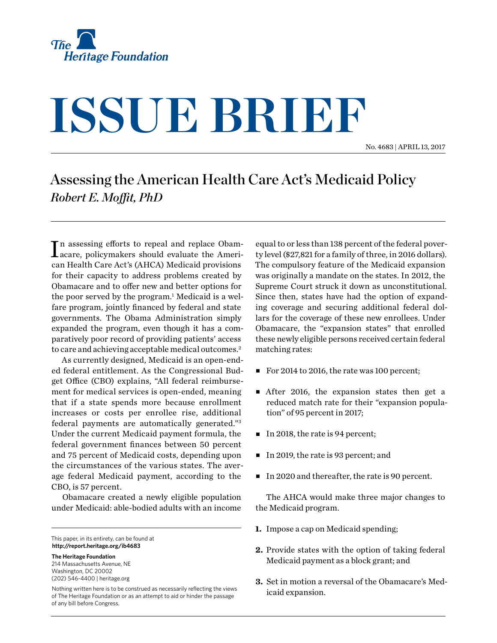

# **ISSUE BRIEF**

No. 4683 | April 13, 2017

## Assessing the American Health Care Act's Medicaid Policy *Robert E. Moffit, PhD*

In assessing efforts to repeal and replace Obam-<br>acare, policymakers should evaluate the Ameriacare, policymakers should evaluate the American Health Care Act's (AHCA) Medicaid provisions for their capacity to address problems created by Obamacare and to offer new and better options for the poor served by the program.<sup>1</sup> Medicaid is a welfare program, jointly financed by federal and state governments. The Obama Administration simply expanded the program, even though it has a comparatively poor record of providing patients' access to care and achieving acceptable medical outcomes.<sup>2</sup>

As currently designed, Medicaid is an open-ended federal entitlement. As the Congressional Budget Office (CBO) explains, "All federal reimbursement for medical services is open-ended, meaning that if a state spends more because enrollment increases or costs per enrollee rise, additional federal payments are automatically generated."3 Under the current Medicaid payment formula, the federal government finances between 50 percent and 75 percent of Medicaid costs, depending upon the circumstances of the various states. The average federal Medicaid payment, according to the CBO, is 57 percent.

Obamacare created a newly eligible population under Medicaid: able-bodied adults with an income

This paper, in its entirety, can be found at **http://report.heritage.org/ib4683**

**The Heritage Foundation** 214 Massachusetts Avenue, NE Washington, DC 20002 (202) 546-4400 | [heritage.org](http://www.heritage.org)

Nothing written here is to be construed as necessarily reflecting the views of The Heritage Foundation or as an attempt to aid or hinder the passage of any bill before Congress.

equal to or less than 138 percent of the federal poverty level (\$27,821 for a family of three, in 2016 dollars). The compulsory feature of the Medicaid expansion was originally a mandate on the states. In 2012, the Supreme Court struck it down as unconstitutional. Since then, states have had the option of expanding coverage and securing additional federal dollars for the coverage of these new enrollees. Under Obamacare, the "expansion states" that enrolled these newly eligible persons received certain federal matching rates:

- For 2014 to 2016, the rate was 100 percent;
- $\blacksquare$  After 2016, the expansion states then get a reduced match rate for their "expansion population" of 95 percent in 2017;
- $\blacksquare$  In 2018, the rate is 94 percent;
- In 2019, the rate is 93 percent; and
- In 2020 and thereafter, the rate is 90 percent.

The AHCA would make three major changes to the Medicaid program.

- **1.** Impose a cap on Medicaid spending;
- **2.** Provide states with the option of taking federal Medicaid payment as a block grant; and
- **3.** Set in motion a reversal of the Obamacare's Medicaid expansion.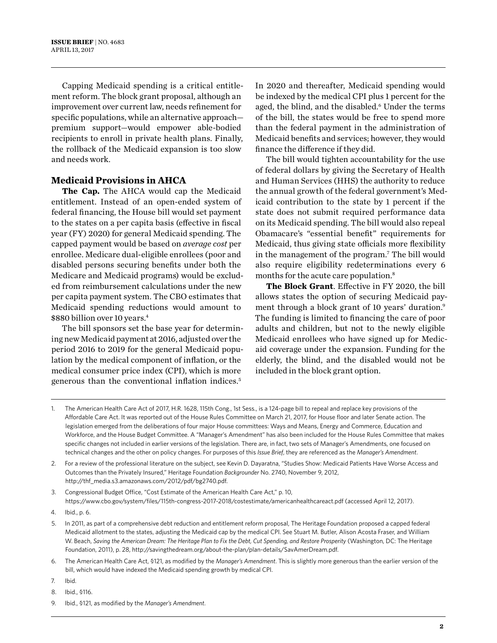Capping Medicaid spending is a critical entitlement reform. The block grant proposal, although an improvement over current law, needs refinement for specific populations, while an alternative approach premium support—would empower able-bodied recipients to enroll in private health plans. Finally, the rollback of the Medicaid expansion is too slow and needs work.

### **Medicaid Provisions in AHCA**

**The Cap.** The AHCA would cap the Medicaid entitlement. Instead of an open-ended system of federal financing, the House bill would set payment to the states on a per capita basis (effective in fiscal year (FY) 2020) for general Medicaid spending. The capped payment would be based on *average cost* per enrollee. Medicare dual-eligible enrollees (poor and disabled persons securing benefits under both the Medicare and Medicaid programs) would be excluded from reimbursement calculations under the new per capita payment system. The CBO estimates that Medicaid spending reductions would amount to \$880 billion over 10 years.<sup>4</sup>

The bill sponsors set the base year for determining new Medicaid payment at 2016, adjusted over the period 2016 to 2019 for the general Medicaid population by the medical component of inflation, or the medical consumer price index (CPI), which is more generous than the conventional inflation indices.5

In 2020 and thereafter, Medicaid spending would be indexed by the medical CPI plus 1 percent for the aged, the blind, and the disabled.<sup>6</sup> Under the terms of the bill, the states would be free to spend more than the federal payment in the administration of Medicaid benefits and services; however, they would finance the difference if they did.

The bill would tighten accountability for the use of federal dollars by giving the Secretary of Health and Human Services (HHS) the authority to reduce the annual growth of the federal government's Medicaid contribution to the state by 1 percent if the state does not submit required performance data on its Medicaid spending. The bill would also repeal Obamacare's "essential benefit" requirements for Medicaid, thus giving state officials more flexibility in the management of the program.7 The bill would also require eligibility redeterminations every 6 months for the acute care population.8

**The Block Grant**. Effective in FY 2020, the bill allows states the option of securing Medicaid payment through a block grant of 10 years' duration.<sup>9</sup> The funding is limited to financing the care of poor adults and children, but not to the newly eligible Medicaid enrollees who have signed up for Medicaid coverage under the expansion. Funding for the elderly, the blind, and the disabled would not be included in the block grant option.

3. Congressional Budget Office, "Cost Estimate of the American Health Care Act," p. 10, <https://www.cbo.gov/system/files/115th-congress-2017-2018/costestimate/americanhealthcareact.pdf> (accessed April 12, 2017).

9. Ibid., §121, as modified by the *Manager's Amendment*.

<sup>1.</sup> The American Health Care Act of 2017, H.R. 1628, 115th Cong., 1st Sess., is a 124-page bill to repeal and replace key provisions of the Affordable Care Act. It was reported out of the House Rules Committee on March 21, 2017, for House floor and later Senate action. The legislation emerged from the deliberations of four major House committees: Ways and Means, Energy and Commerce, Education and Workforce, and the House Budget Committee. A "Manager's Amendment" has also been included for the House Rules Committee that makes specific changes not included in earlier versions of the legislation. There are, in fact, two sets of Manager's Amendments, one focused on technical changes and the other on policy changes. For purposes of this *Issue Brief*, they are referenced as the *Manager's Amendment*.

<sup>2.</sup> For a review of the professional literature on the subject, see Kevin D. Dayaratna, "Studies Show: Medicaid Patients Have Worse Access and Outcomes than the Privately Insured," Heritage Foundation *Backgrounder* No. 2740, November 9, 2012, [http://thf\\_media.s3.amazonaws.com/2012/pdf/bg2740.pdf](http://thf_media.s3.amazonaws.com/2012/pdf/bg2740.pdf).

<sup>4.</sup> Ibid., p. 6.

<sup>5.</sup> In 2011, as part of a comprehensive debt reduction and entitlement reform proposal, The Heritage Foundation proposed a capped federal Medicaid allotment to the states, adjusting the Medicaid cap by the medical CPI. See Stuart M. Butler, Alison Acosta Fraser, and William W. Beach, *Saving the American Dream: The Heritage Plan to Fix the Debt, Cut Spending, and Restore Prosperity* (Washington, DC: The Heritage Foundation, 2011), p. 28, [http://savingthedream.org/about-the-plan/plan-details/SavAmerDream.pdf.](http://savingthedream.org/about-the-plan/plan-details/SavAmerDream.pdf)

<sup>6.</sup> The American Health Care Act, §121, as modified by the *Manager's Amendment*. This is slightly more generous than the earlier version of the bill, which would have indexed the Medicaid spending growth by medical CPI.

<sup>7.</sup> Ibid.

<sup>8.</sup> Ibid., §116.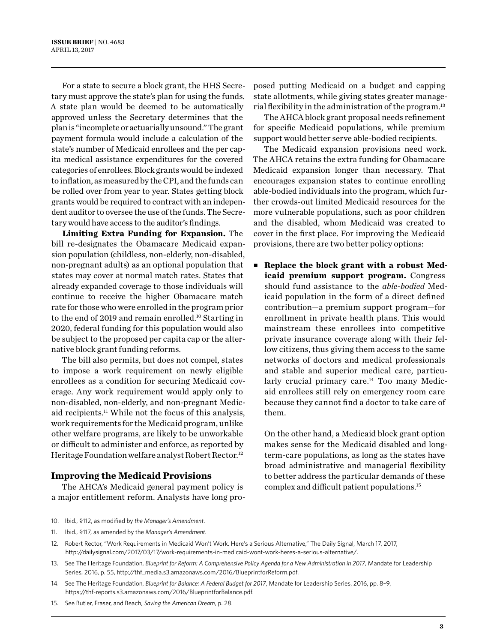For a state to secure a block grant, the HHS Secretary must approve the state's plan for using the funds. A state plan would be deemed to be automatically approved unless the Secretary determines that the plan is "incomplete or actuarially unsound." The grant payment formula would include a calculation of the state's number of Medicaid enrollees and the per capita medical assistance expenditures for the covered categories of enrollees. Block grants would be indexed to inflation, as measured by the CPI, and the funds can be rolled over from year to year. States getting block grants would be required to contract with an independent auditor to oversee the use of the funds. The Secretary would have access to the auditor's findings.

**Limiting Extra Funding for Expansion.** The bill re-designates the Obamacare Medicaid expansion population (childless, non-elderly, non-disabled, non-pregnant adults) as an optional population that states may cover at normal match rates. States that already expanded coverage to those individuals will continue to receive the higher Obamacare match rate for those who were enrolled in the program prior to the end of 2019 and remain enrolled.<sup>10</sup> Starting in 2020, federal funding for this population would also be subject to the proposed per capita cap or the alternative block grant funding reforms.

The bill also permits, but does not compel, states to impose a work requirement on newly eligible enrollees as a condition for securing Medicaid coverage. Any work requirement would apply only to non-disabled, non-elderly, and non-pregnant Medicaid recipients.11 While not the focus of this analysis, work requirements for the Medicaid program, unlike other welfare programs, are likely to be unworkable or difficult to administer and enforce, as reported by Heritage Foundation welfare analyst Robert Rector.<sup>12</sup>

### **Improving the Medicaid Provisions**

The AHCA's Medicaid general payment policy is a major entitlement reform. Analysts have long proposed putting Medicaid on a budget and capping state allotments, while giving states greater managerial flexibility in the administration of the program.<sup>13</sup>

The AHCA block grant proposal needs refinement for specific Medicaid populations, while premium support would better serve able-bodied recipients.

The Medicaid expansion provisions need work. The AHCA retains the extra funding for Obamacare Medicaid expansion longer than necessary. That encourages expansion states to continue enrolling able-bodied individuals into the program, which further crowds-out limited Medicaid resources for the more vulnerable populations, such as poor children and the disabled, whom Medicaid was created to cover in the first place. For improving the Medicaid provisions, there are two better policy options:

■ Replace the block grant with a robust Med**icaid premium support program.** Congress should fund assistance to the *able-bodied* Medicaid population in the form of a direct defined contribution—a premium support program—for enrollment in private health plans. This would mainstream these enrollees into competitive private insurance coverage along with their fellow citizens, thus giving them access to the same networks of doctors and medical professionals and stable and superior medical care, particularly crucial primary care.<sup>14</sup> Too many Medicaid enrollees still rely on emergency room care because they cannot find a doctor to take care of them.

On the other hand, a Medicaid block grant option makes sense for the Medicaid disabled and longterm-care populations, as long as the states have broad administrative and managerial flexibility to better address the particular demands of these complex and difficult patient populations.15

<sup>10.</sup> Ibid., §112, as modified by *the Manager's Amendment*.

<sup>11.</sup> Ibid., §117, as amended by the *Manager's Amendment*.

<sup>12.</sup> Robert Rector, "Work Requirements in Medicaid Won't Work. Here's a Serious Alternative," The Daily Signal, March 17, 2017, [http://dailysignal.com/2017/03/17/work-requirements-in-medicaid-wont-work-heres-a-serious-alternative/.](http://dailysignal.com/2017/03/17/work-requirements-in-medicaid-wont-work-heres-a-serious-alternative/)

<sup>13.</sup> See The Heritage Foundation, *Blueprint for Reform: A Comprehensive Policy Agenda for a New Administration in 2017*, Mandate for Leadership Series, 2016, p. 55, [http://thf\\_media.s3.amazonaws.com/2016/BlueprintforReform.pdf.](http://thf_media.s3.amazonaws.com/2016/BlueprintforReform.pdf)

<sup>14.</sup> See The Heritage Foundation, *Blueprint for Balance: A Federal Budget for 2017*, Mandate for Leadership Series, 2016, pp. 8–9, https://thf-reports.s3.amazonaws.com/2016/BlueprintforBalance.pdf.

<sup>15.</sup> See Butler, Fraser, and Beach, *Saving the American Dream*, p. 28.